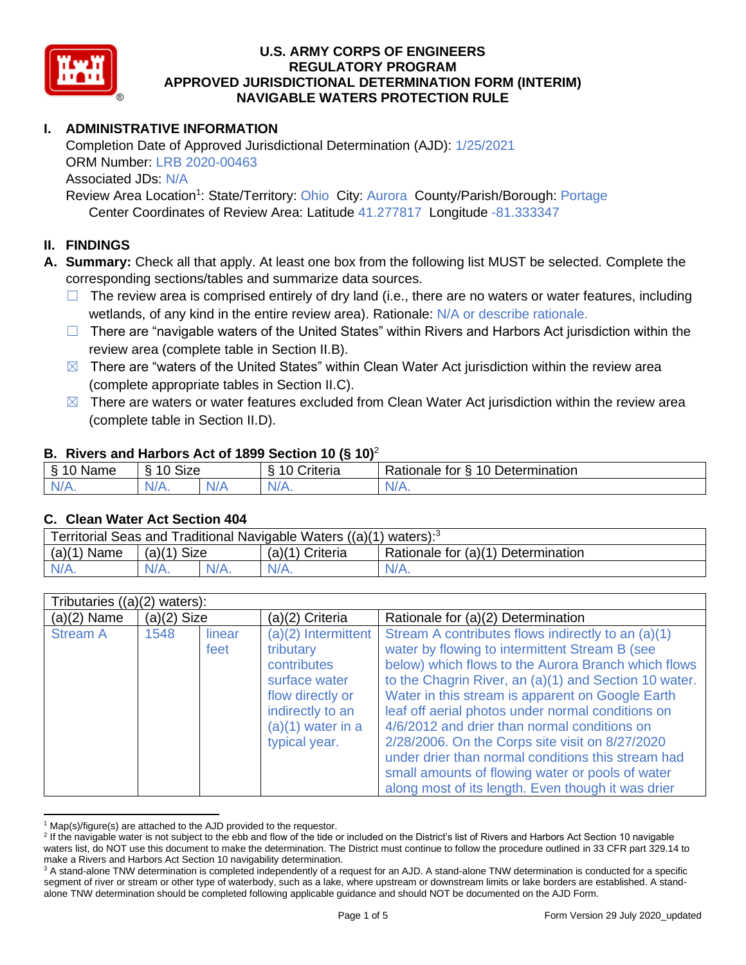

# **I. ADMINISTRATIVE INFORMATION**

Completion Date of Approved Jurisdictional Determination (AJD): 1/25/2021 ORM Number: LRB 2020-00463 Associated JDs: N/A Review Area Location<sup>1</sup>: State/Territory: Ohio City: Aurora County/Parish/Borough: Portage

Center Coordinates of Review Area: Latitude 41.277817 Longitude -81.333347

### **II. FINDINGS**

**A. Summary:** Check all that apply. At least one box from the following list MUST be selected. Complete the corresponding sections/tables and summarize data sources.

- $\Box$  The review area is comprised entirely of dry land (i.e., there are no waters or water features, including wetlands, of any kind in the entire review area). Rationale: N/A or describe rationale.
- $\Box$  There are "navigable waters of the United States" within Rivers and Harbors Act jurisdiction within the review area (complete table in Section II.B).
- $\boxtimes$  There are "waters of the United States" within Clean Water Act jurisdiction within the review area (complete appropriate tables in Section II.C).
- $\boxtimes$  There are waters or water features excluded from Clean Water Act jurisdiction within the review area (complete table in Section II.D).

#### **B. Rivers and Harbors Act of 1899 Section 10 (§ 10)**<sup>2</sup>

| δ.<br>1000<br>Name | $\sim$<br>10<br>SIZE<br>∘ |   | Criteria<br>$\sim$<br>-<br>ΙU | Determination<br>$\Delta$<br>tor<br>Rationale |
|--------------------|---------------------------|---|-------------------------------|-----------------------------------------------|
| N/A.               | N/A.                      | . | NI/<br>.                      | N/A.                                          |

#### **C. Clean Water Act Section 404**

| Territorial Seas and Traditional Navigable Waters $((a)(1)$ waters): <sup>3</sup> |                |  |                   |                                    |  |  |  |
|-----------------------------------------------------------------------------------|----------------|--|-------------------|------------------------------------|--|--|--|
| (a)(1)<br>Name                                                                    | Size<br>(a)(1) |  | $(a)(1)$ Criteria | Rationale for (a)(1) Determination |  |  |  |
|                                                                                   | $N/A$ .        |  | $N/A$ .           | $N/A$ .                            |  |  |  |

|                 | Tributaries $((a)(2)$ waters): |                |                                                                                                                                                  |                                                                                                                                                                                                                                                                                                                                                                                                                                                                                                                                                                                                  |  |  |  |  |  |
|-----------------|--------------------------------|----------------|--------------------------------------------------------------------------------------------------------------------------------------------------|--------------------------------------------------------------------------------------------------------------------------------------------------------------------------------------------------------------------------------------------------------------------------------------------------------------------------------------------------------------------------------------------------------------------------------------------------------------------------------------------------------------------------------------------------------------------------------------------------|--|--|--|--|--|
| $(a)(2)$ Name   | $(a)(2)$ Size                  |                | (a)(2) Criteria                                                                                                                                  | Rationale for (a)(2) Determination                                                                                                                                                                                                                                                                                                                                                                                                                                                                                                                                                               |  |  |  |  |  |
| <b>Stream A</b> | 1548                           | linear<br>feet | (a)(2) Intermittent<br>tributary<br>contributes<br>surface water<br>flow directly or<br>indirectly to an<br>$(a)(1)$ water in a<br>typical year. | Stream A contributes flows indirectly to an (a)(1)<br>water by flowing to intermittent Stream B (see<br>below) which flows to the Aurora Branch which flows<br>to the Chagrin River, an (a)(1) and Section 10 water.<br>Water in this stream is apparent on Google Earth<br>leaf off aerial photos under normal conditions on<br>4/6/2012 and drier than normal conditions on<br>2/28/2006. On the Corps site visit on 8/27/2020<br>under drier than normal conditions this stream had<br>small amounts of flowing water or pools of water<br>along most of its length. Even though it was drier |  |  |  |  |  |

 $1$  Map(s)/figure(s) are attached to the AJD provided to the requestor.

<sup>&</sup>lt;sup>2</sup> If the navigable water is not subject to the ebb and flow of the tide or included on the District's list of Rivers and Harbors Act Section 10 navigable waters list, do NOT use this document to make the determination. The District must continue to follow the procedure outlined in 33 CFR part 329.14 to make a Rivers and Harbors Act Section 10 navigability determination.

<sup>&</sup>lt;sup>3</sup> A stand-alone TNW determination is completed independently of a request for an AJD. A stand-alone TNW determination is conducted for a specific segment of river or stream or other type of waterbody, such as a lake, where upstream or downstream limits or lake borders are established. A standalone TNW determination should be completed following applicable guidance and should NOT be documented on the AJD Form.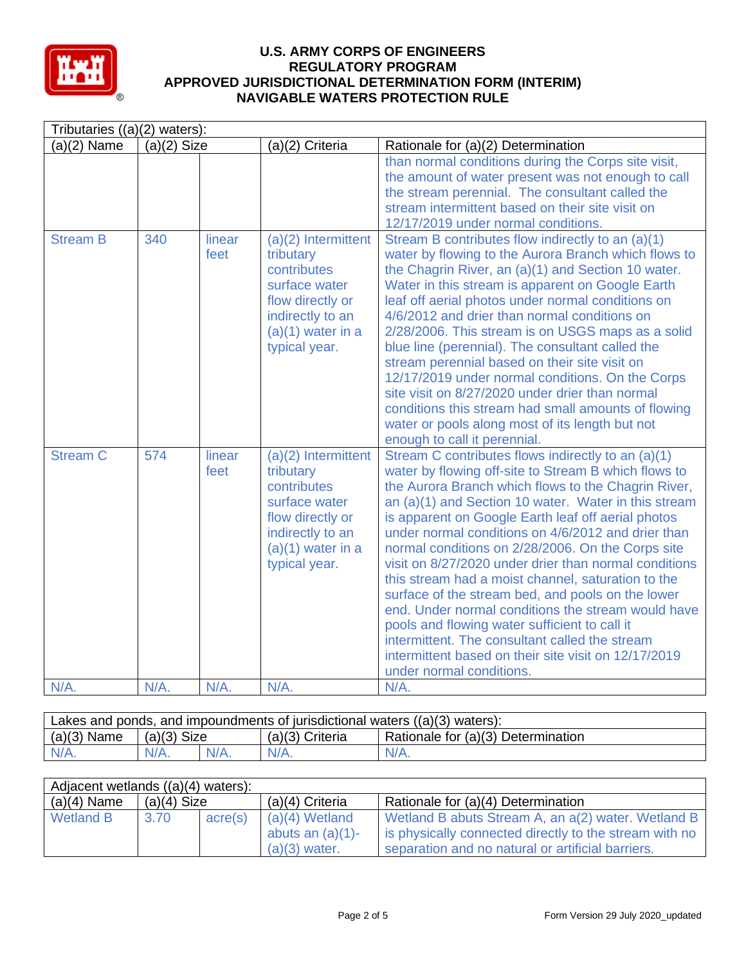

| Tributaries $((a)(2)$ waters): |               |                |                                                                                                                                                    |                                                                                                                                                                                                                                                                                                                                                                                                                                                                                                                                                                                                                                                                                                                                                                                                             |  |  |  |
|--------------------------------|---------------|----------------|----------------------------------------------------------------------------------------------------------------------------------------------------|-------------------------------------------------------------------------------------------------------------------------------------------------------------------------------------------------------------------------------------------------------------------------------------------------------------------------------------------------------------------------------------------------------------------------------------------------------------------------------------------------------------------------------------------------------------------------------------------------------------------------------------------------------------------------------------------------------------------------------------------------------------------------------------------------------------|--|--|--|
| $(a)(2)$ Name                  | $(a)(2)$ Size |                | (a)(2) Criteria                                                                                                                                    | Rationale for (a)(2) Determination                                                                                                                                                                                                                                                                                                                                                                                                                                                                                                                                                                                                                                                                                                                                                                          |  |  |  |
|                                |               |                |                                                                                                                                                    | than normal conditions during the Corps site visit,<br>the amount of water present was not enough to call<br>the stream perennial. The consultant called the<br>stream intermittent based on their site visit on<br>12/17/2019 under normal conditions.                                                                                                                                                                                                                                                                                                                                                                                                                                                                                                                                                     |  |  |  |
| <b>Stream B</b>                | 340           | linear<br>feet | $(a)(2)$ Intermittent<br>tributary<br>contributes<br>surface water<br>flow directly or<br>indirectly to an<br>$(a)(1)$ water in a<br>typical year. | Stream B contributes flow indirectly to an (a)(1)<br>water by flowing to the Aurora Branch which flows to<br>the Chagrin River, an (a)(1) and Section 10 water.<br>Water in this stream is apparent on Google Earth<br>leaf off aerial photos under normal conditions on<br>4/6/2012 and drier than normal conditions on<br>2/28/2006. This stream is on USGS maps as a solid<br>blue line (perennial). The consultant called the<br>stream perennial based on their site visit on<br>12/17/2019 under normal conditions. On the Corps<br>site visit on 8/27/2020 under drier than normal<br>conditions this stream had small amounts of flowing<br>water or pools along most of its length but not<br>enough to call it perennial.                                                                         |  |  |  |
| <b>Stream C</b>                | 574           | linear<br>feet | $(a)(2)$ Intermittent<br>tributary<br>contributes<br>surface water<br>flow directly or<br>indirectly to an<br>$(a)(1)$ water in a<br>typical year. | Stream C contributes flows indirectly to an (a)(1)<br>water by flowing off-site to Stream B which flows to<br>the Aurora Branch which flows to the Chagrin River,<br>an (a)(1) and Section 10 water. Water in this stream<br>is apparent on Google Earth leaf off aerial photos<br>under normal conditions on 4/6/2012 and drier than<br>normal conditions on 2/28/2006. On the Corps site<br>visit on 8/27/2020 under drier than normal conditions<br>this stream had a moist channel, saturation to the<br>surface of the stream bed, and pools on the lower<br>end. Under normal conditions the stream would have<br>pools and flowing water sufficient to call it<br>intermittent. The consultant called the stream<br>intermittent based on their site visit on 12/17/2019<br>under normal conditions. |  |  |  |
| N/A.                           | N/A.          | N/A.           | N/A.                                                                                                                                               | N/A.                                                                                                                                                                                                                                                                                                                                                                                                                                                                                                                                                                                                                                                                                                                                                                                                        |  |  |  |

| Lakes and ponds, and impoundments of jurisdictional waters $((a)(3)$ waters): |               |  |                 |                                    |  |  |
|-------------------------------------------------------------------------------|---------------|--|-----------------|------------------------------------|--|--|
| $(a)(3)$ Name                                                                 | $(a)(3)$ Size |  | (a)(3) Criteria | Rationale for (a)(3) Determination |  |  |
| $N/A$ .                                                                       | $N/A$ .       |  | $N/A$ .         | $N/A$ .                            |  |  |

| Adjacent wetlands ((a)(4) waters): |               |         |                                                            |                                                                                                                                                                   |  |  |  |
|------------------------------------|---------------|---------|------------------------------------------------------------|-------------------------------------------------------------------------------------------------------------------------------------------------------------------|--|--|--|
| $(a)(4)$ Name                      | $(a)(4)$ Size |         | $(a)(4)$ Criteria                                          | Rationale for (a)(4) Determination                                                                                                                                |  |  |  |
| <b>Wetland B</b>                   | 3.70          | acre(s) | $(a)(4)$ Wetland<br>abuts an $(a)(1)$ -<br>$(a)(3)$ water. | Wetland B abuts Stream A, an a(2) water. Wetland B<br>is physically connected directly to the stream with no<br>separation and no natural or artificial barriers. |  |  |  |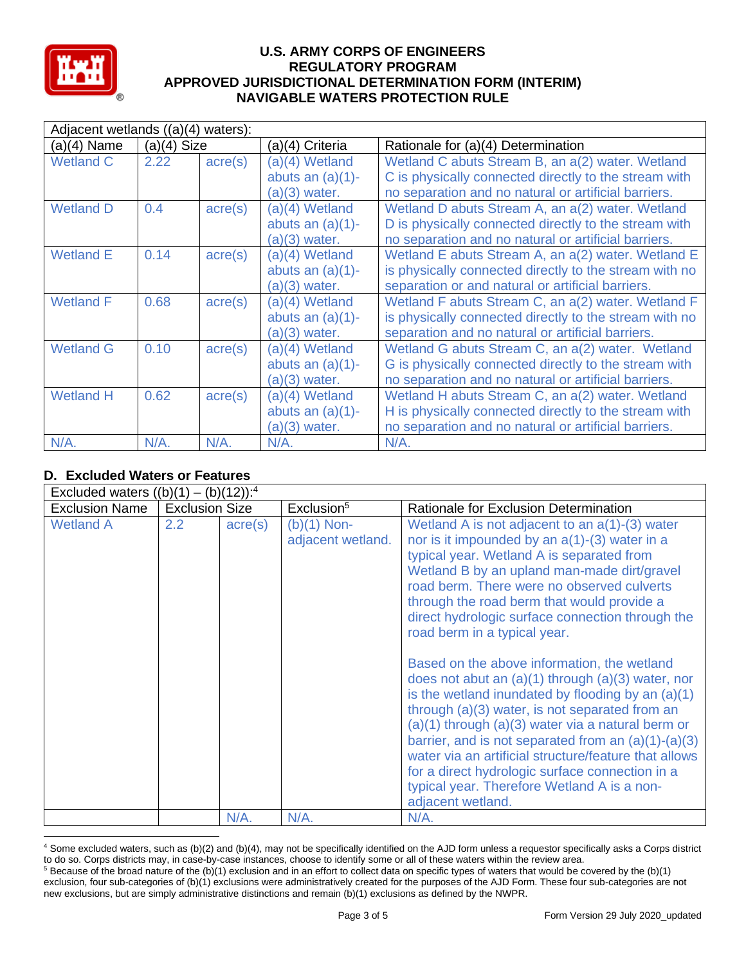

| Adjacent wetlands ((a)(4) waters): |               |                  |                     |                                                        |
|------------------------------------|---------------|------------------|---------------------|--------------------------------------------------------|
| $(a)(4)$ Name                      | $(a)(4)$ Size |                  | (a)(4) Criteria     | Rationale for (a)(4) Determination                     |
| <b>Wetland C</b>                   | 2.22          | $\text{acre}(s)$ | (a)(4) Wetland      | Wetland C abuts Stream B, an a(2) water. Wetland       |
|                                    |               |                  | abuts an $(a)(1)$ - | C is physically connected directly to the stream with  |
|                                    |               |                  | $(a)(3)$ water.     | no separation and no natural or artificial barriers.   |
| <b>Wetland D</b>                   | 0.4           | $\text{acre}(s)$ | (a)(4) Wetland      | Wetland D abuts Stream A, an a(2) water. Wetland       |
|                                    |               |                  | abuts an $(a)(1)$ - | D is physically connected directly to the stream with  |
|                                    |               |                  | $(a)(3)$ water.     | no separation and no natural or artificial barriers.   |
| <b>Wetland E</b>                   | 0.14          | $\text{acre}(s)$ | (a)(4) Wetland      | Wetland E abuts Stream A, an a(2) water. Wetland E     |
|                                    |               |                  | abuts an $(a)(1)$ - | is physically connected directly to the stream with no |
|                                    |               |                  | $(a)(3)$ water.     | separation or and natural or artificial barriers.      |
| <b>Wetland F</b>                   | 0.68          | $\text{acre}(s)$ | (a)(4) Wetland      | Wetland F abuts Stream C, an a(2) water. Wetland F     |
|                                    |               |                  | abuts an $(a)(1)$ - | is physically connected directly to the stream with no |
|                                    |               |                  | $(a)(3)$ water.     | separation and no natural or artificial barriers.      |
| <b>Wetland G</b>                   | 0.10          | $\text{acre}(s)$ | (a)(4) Wetland      | Wetland G abuts Stream C, an a(2) water. Wetland       |
|                                    |               |                  | abuts an $(a)(1)$ - | G is physically connected directly to the stream with  |
|                                    |               |                  | $(a)(3)$ water.     | no separation and no natural or artificial barriers.   |
| <b>Wetland H</b>                   | 0.62          | $\text{acre}(s)$ | (a)(4) Wetland      | Wetland H abuts Stream C, an a(2) water. Wetland       |
|                                    |               |                  | abuts an $(a)(1)$ - | H is physically connected directly to the stream with  |
|                                    |               |                  | $(a)(3)$ water.     | no separation and no natural or artificial barriers.   |
| $N/A$ .                            | N/A.          | $N/A$ .          | $N/A$ .             | N/A.                                                   |

# **D. Excluded Waters or Features**

| Excluded waters $((b)(1) - (b)(12))$ : <sup>4</sup> |                       |                  |                                    |                                                                                                                                                                                                                                                                                                                                                                                                                                                                                                                                                                                                                                                                                                                                                                                                                                                                                              |  |  |  |  |
|-----------------------------------------------------|-----------------------|------------------|------------------------------------|----------------------------------------------------------------------------------------------------------------------------------------------------------------------------------------------------------------------------------------------------------------------------------------------------------------------------------------------------------------------------------------------------------------------------------------------------------------------------------------------------------------------------------------------------------------------------------------------------------------------------------------------------------------------------------------------------------------------------------------------------------------------------------------------------------------------------------------------------------------------------------------------|--|--|--|--|
| <b>Exclusion Name</b>                               | <b>Exclusion Size</b> |                  | Exclusion <sup>5</sup>             | Rationale for Exclusion Determination                                                                                                                                                                                                                                                                                                                                                                                                                                                                                                                                                                                                                                                                                                                                                                                                                                                        |  |  |  |  |
| <b>Wetland A</b>                                    | 2.2                   | $\text{acre}(s)$ | $(b)(1)$ Non-<br>adjacent wetland. | Wetland A is not adjacent to an $a(1)-(3)$ water<br>nor is it impounded by an a(1)-(3) water in a<br>typical year. Wetland A is separated from<br>Wetland B by an upland man-made dirt/gravel<br>road berm. There were no observed culverts<br>through the road berm that would provide a<br>direct hydrologic surface connection through the<br>road berm in a typical year.<br>Based on the above information, the wetland<br>does not abut an (a)(1) through (a)(3) water, nor<br>is the wetland inundated by flooding by an $(a)(1)$<br>through (a)(3) water, is not separated from an<br>$(a)(1)$ through $(a)(3)$ water via a natural berm or<br>barrier, and is not separated from an $(a)(1)-(a)(3)$<br>water via an artificial structure/feature that allows<br>for a direct hydrologic surface connection in a<br>typical year. Therefore Wetland A is a non-<br>adjacent wetland. |  |  |  |  |
|                                                     |                       | $N/A$ .          | N/A.                               | $N/A$ .                                                                                                                                                                                                                                                                                                                                                                                                                                                                                                                                                                                                                                                                                                                                                                                                                                                                                      |  |  |  |  |

<sup>4</sup> Some excluded waters, such as (b)(2) and (b)(4), may not be specifically identified on the AJD form unless a requestor specifically asks a Corps district to do so. Corps districts may, in case-by-case instances, choose to identify some or all of these waters within the review area.

 $5$  Because of the broad nature of the (b)(1) exclusion and in an effort to collect data on specific types of waters that would be covered by the (b)(1) exclusion, four sub-categories of (b)(1) exclusions were administratively created for the purposes of the AJD Form. These four sub-categories are not new exclusions, but are simply administrative distinctions and remain (b)(1) exclusions as defined by the NWPR.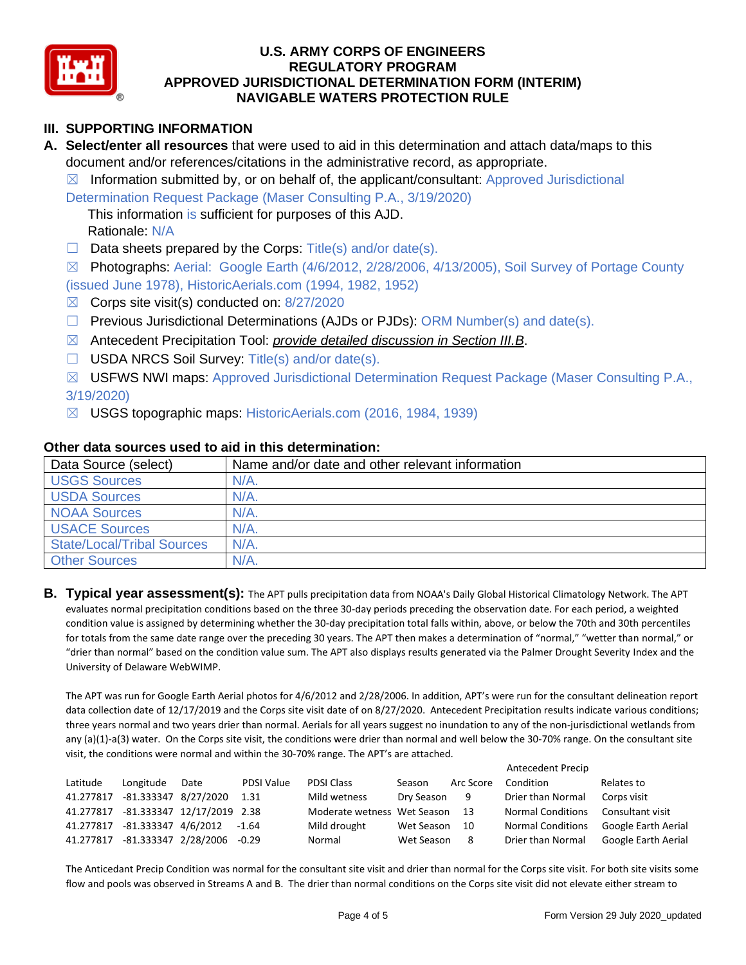

# **III. SUPPORTING INFORMATION**

**A. Select/enter all resources** that were used to aid in this determination and attach data/maps to this document and/or references/citations in the administrative record, as appropriate.

 $\boxtimes$  Information submitted by, or on behalf of, the applicant/consultant: Approved Jurisdictional

Determination Request Package (Maser Consulting P.A., 3/19/2020)

This information is sufficient for purposes of this AJD. Rationale: N/A

 $\Box$  Data sheets prepared by the Corps: Title(s) and/or date(s).

☒ Photographs: Aerial: Google Earth (4/6/2012, 2/28/2006, 4/13/2005), Soil Survey of Portage County (issued June 1978), HistoricAerials.com (1994, 1982, 1952)

- $\boxtimes$  Corps site visit(s) conducted on: 8/27/2020
- ☐ Previous Jurisdictional Determinations (AJDs or PJDs): ORM Number(s) and date(s).
- ☒ Antecedent Precipitation Tool: *provide detailed discussion in Section III.B*.
- $\Box$  USDA NRCS Soil Survey: Title(s) and/or date(s).
- ☒ USFWS NWI maps: Approved Jurisdictional Determination Request Package (Maser Consulting P.A., 3/19/2020)
- ☒ USGS topographic maps: HistoricAerials.com (2016, 1984, 1939)

| Data Source (select)              | Name and/or date and other relevant information |
|-----------------------------------|-------------------------------------------------|
| <b>USGS Sources</b>               | $N/A$ .                                         |
| <b>USDA Sources</b>               | N/A                                             |
| <b>NOAA Sources</b>               | $N/A$ .                                         |
| <b>USACE Sources</b>              | $N/A$ .                                         |
| <b>State/Local/Tribal Sources</b> | N/A                                             |
| <b>Other Sources</b>              | N/A                                             |

#### **Other data sources used to aid in this determination:**

**B. Typical year assessment(s):** The APT pulls precipitation data from NOAA's Daily Global Historical Climatology Network. The APT evaluates normal precipitation conditions based on the three 30-day periods preceding the observation date. For each period, a weighted condition value is assigned by determining whether the 30-day precipitation total falls within, above, or below the 70th and 30th percentiles for totals from the same date range over the preceding 30 years. The APT then makes a determination of "normal," "wetter than normal," or "drier than normal" based on the condition value sum. The APT also displays results generated via the Palmer Drought Severity Index and the University of Delaware WebWIMP.

The APT was run for Google Earth Aerial photos for 4/6/2012 and 2/28/2006. In addition, APT's were run for the consultant delineation report data collection date of 12/17/2019 and the Corps site visit date of on 8/27/2020. Antecedent Precipitation results indicate various conditions; three years normal and two years drier than normal. Aerials for all years suggest no inundation to any of the non-jurisdictional wetlands from any (a)(1)-a(3) water. On the Corps site visit, the conditions were drier than normal and well below the 30-70% range. On the consultant site visit, the conditions were normal and within the 30-70% range. The APT's are attached.

|           |                                      |                   |                             |            |                 | <b>Antecedent Precip</b> |                     |
|-----------|--------------------------------------|-------------------|-----------------------------|------------|-----------------|--------------------------|---------------------|
| Latitude  | Longitude Date                       | <b>PDSI Value</b> | <b>PDSI Class</b>           | Season     | Arc Score       | Condition                | Relates to          |
| 41.277817 | -81.333347 8/27/2020                 | 1.31              | Mild wetness                | Dry Season | - 9             | Drier than Normal        | Corps visit         |
|           | 41.277817 -81.333347 12/17/2019 2.38 |                   | Moderate wetness Wet Season |            | $\overline{13}$ | <b>Normal Conditions</b> | Consultant visit    |
|           | 41.277817 -81.333347 4/6/2012        | $-1.64$           | Mild drought                | Wet Season | - 10            | <b>Normal Conditions</b> | Google Earth Aerial |
|           | 41.277817 -81.333347 2/28/2006 -0.29 |                   | Normal                      | Wet Season | - 8             | Drier than Normal        | Google Earth Aerial |

The Anticedant Precip Condition was normal for the consultant site visit and drier than normal for the Corps site visit. For both site visits some flow and pools was observed in Streams A and B. The drier than normal conditions on the Corps site visit did not elevate either stream to